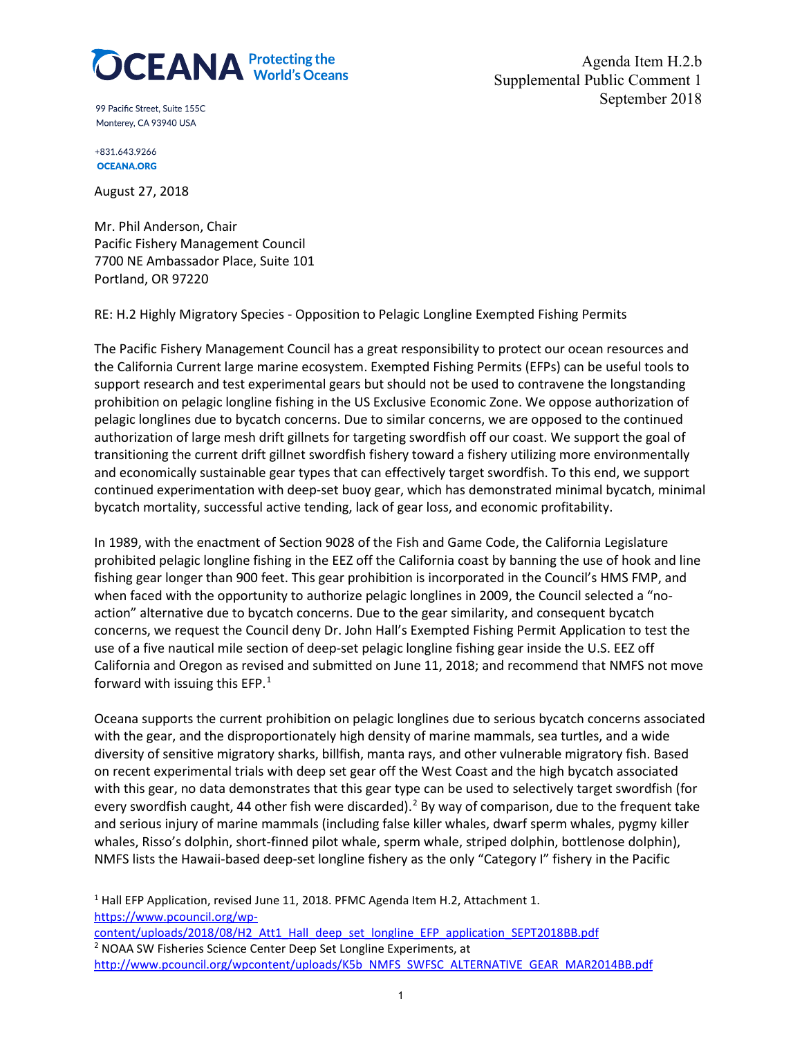

Agenda Item H.2.b Supplemental Public Comment 1 September 2018

99 Pacific Street. Suite 155C Monterey, CA 93940 USA

+831.643.9266 **OCEANA.ORG** 

August 27, 2018

Mr. Phil Anderson, Chair Pacific Fishery Management Council 7700 NE Ambassador Place, Suite 101 Portland, OR 97220

RE: H.2 Highly Migratory Species - Opposition to Pelagic Longline Exempted Fishing Permits

The Pacific Fishery Management Council has a great responsibility to protect our ocean resources and the California Current large marine ecosystem. Exempted Fishing Permits (EFPs) can be useful tools to support research and test experimental gears but should not be used to contravene the longstanding prohibition on pelagic longline fishing in the US Exclusive Economic Zone. We oppose authorization of pelagic longlines due to bycatch concerns. Due to similar concerns, we are opposed to the continued authorization of large mesh drift gillnets for targeting swordfish off our coast. We support the goal of transitioning the current drift gillnet swordfish fishery toward a fishery utilizing more environmentally and economically sustainable gear types that can effectively target swordfish. To this end, we support continued experimentation with deep-set buoy gear, which has demonstrated minimal bycatch, minimal bycatch mortality, successful active tending, lack of gear loss, and economic profitability.

In 1989, with the enactment of Section 9028 of the Fish and Game Code, the California Legislature prohibited pelagic longline fishing in the EEZ off the California coast by banning the use of hook and line fishing gear longer than 900 feet. This gear prohibition is incorporated in the Council's HMS FMP, and when faced with the opportunity to authorize pelagic longlines in 2009, the Council selected a "noaction" alternative due to bycatch concerns. Due to the gear similarity, and consequent bycatch concerns, we request the Council deny Dr. John Hall's Exempted Fishing Permit Application to test the use of a five nautical mile section of deep-set pelagic longline fishing gear inside the U.S. EEZ off California and Oregon as revised and submitted on June 11, 2018; and recommend that NMFS not move forward with issuing this EFP.<sup>[1](#page-0-0)</sup>

Oceana supports the current prohibition on pelagic longlines due to serious bycatch concerns associated with the gear, and the disproportionately high density of marine mammals, sea turtles, and a wide diversity of sensitive migratory sharks, billfish, manta rays, and other vulnerable migratory fish. Based on recent experimental trials with deep set gear off the West Coast and the high bycatch associated with this gear, no data demonstrates that this gear type can be used to selectively target swordfish (for every swordfish caught, 44 other fish were discarded).<sup>[2](#page-0-1)</sup> By way of comparison, due to the frequent take and serious injury of marine mammals (including false killer whales, dwarf sperm whales, pygmy killer whales, Risso's dolphin, short-finned pilot whale, sperm whale, striped dolphin, bottlenose dolphin), NMFS lists the Hawaii-based deep-set longline fishery as the only "Category I" fishery in the Pacific

<span id="page-0-0"></span><sup>1</sup> Hall EFP Application, revised June 11, 2018. PFMC Agenda Item H.2, Attachment 1. [https://www.pcouncil.org/wp-](https://www.pcouncil.org/wp-content/uploads/2018/08/H2_Att1_Hall_deep_set_longline_EFP_application_SEPT2018BB.pdf)

<span id="page-0-1"></span>[content/uploads/2018/08/H2\\_Att1\\_Hall\\_deep\\_set\\_longline\\_EFP\\_application\\_SEPT2018BB.pdf](https://www.pcouncil.org/wp-content/uploads/2018/08/H2_Att1_Hall_deep_set_longline_EFP_application_SEPT2018BB.pdf) <sup>2</sup> NOAA SW Fisheries Science Center Deep Set Longline Experiments, at [http://www.pcouncil.org/wpcontent/uploads/K5b\\_NMFS\\_SWFSC\\_ALTERNATIVE\\_GEAR\\_MAR2014BB.pdf](http://www.pcouncil.org/wpcontent/uploads/K5b_NMFS_SWFSC_ALTERNATIVE_GEAR_MAR2014BB.pdf)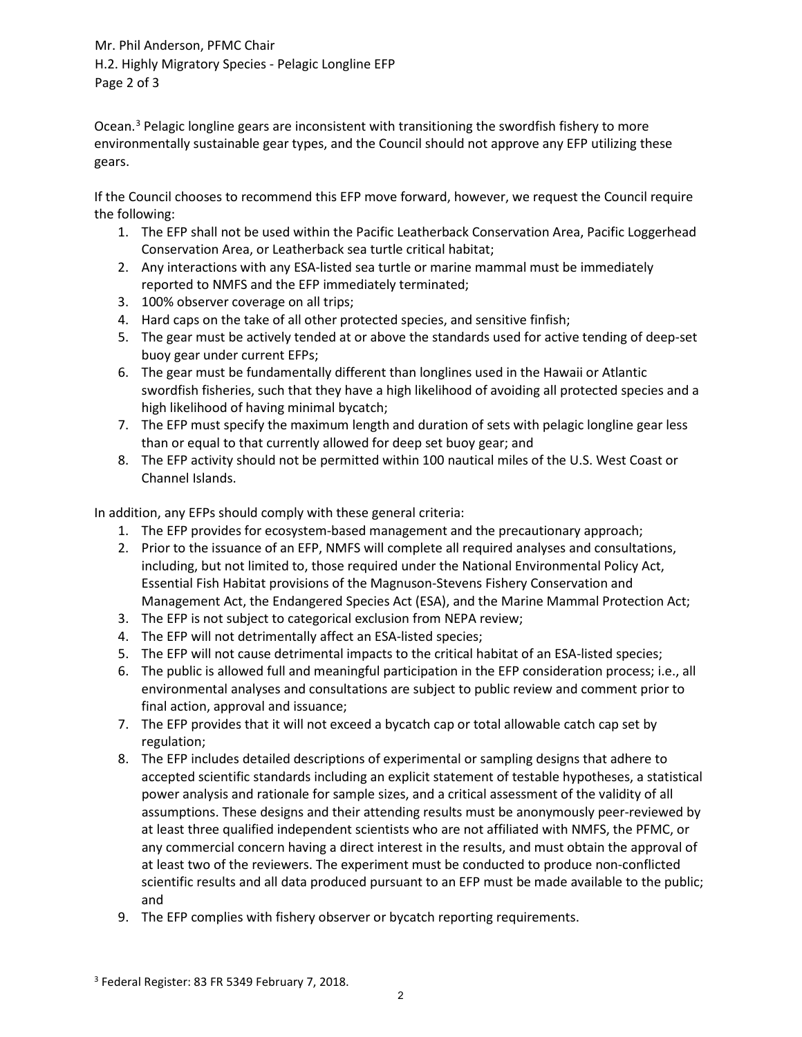Mr. Phil Anderson, PFMC Chair H.2. Highly Migratory Species - Pelagic Longline EFP Page 2 of 3

Ocean.<sup>[3](#page-1-0)</sup> Pelagic longline gears are inconsistent with transitioning the swordfish fishery to more environmentally sustainable gear types, and the Council should not approve any EFP utilizing these gears.

If the Council chooses to recommend this EFP move forward, however, we request the Council require the following:

- 1. The EFP shall not be used within the Pacific Leatherback Conservation Area, Pacific Loggerhead Conservation Area, or Leatherback sea turtle critical habitat;
- 2. Any interactions with any ESA-listed sea turtle or marine mammal must be immediately reported to NMFS and the EFP immediately terminated;
- 3. 100% observer coverage on all trips;
- 4. Hard caps on the take of all other protected species, and sensitive finfish;
- 5. The gear must be actively tended at or above the standards used for active tending of deep-set buoy gear under current EFPs;
- 6. The gear must be fundamentally different than longlines used in the Hawaii or Atlantic swordfish fisheries, such that they have a high likelihood of avoiding all protected species and a high likelihood of having minimal bycatch;
- 7. The EFP must specify the maximum length and duration of sets with pelagic longline gear less than or equal to that currently allowed for deep set buoy gear; and
- 8. The EFP activity should not be permitted within 100 nautical miles of the U.S. West Coast or Channel Islands.

In addition, any EFPs should comply with these general criteria:

- 1. The EFP provides for ecosystem-based management and the precautionary approach;
- 2. Prior to the issuance of an EFP, NMFS will complete all required analyses and consultations, including, but not limited to, those required under the National Environmental Policy Act, Essential Fish Habitat provisions of the Magnuson-Stevens Fishery Conservation and Management Act, the Endangered Species Act (ESA), and the Marine Mammal Protection Act;
- 3. The EFP is not subject to categorical exclusion from NEPA review;
- 4. The EFP will not detrimentally affect an ESA-listed species;
- 5. The EFP will not cause detrimental impacts to the critical habitat of an ESA-listed species;
- 6. The public is allowed full and meaningful participation in the EFP consideration process; i.e., all environmental analyses and consultations are subject to public review and comment prior to final action, approval and issuance;
- 7. The EFP provides that it will not exceed a bycatch cap or total allowable catch cap set by regulation;
- 8. The EFP includes detailed descriptions of experimental or sampling designs that adhere to accepted scientific standards including an explicit statement of testable hypotheses, a statistical power analysis and rationale for sample sizes, and a critical assessment of the validity of all assumptions. These designs and their attending results must be anonymously peer-reviewed by at least three qualified independent scientists who are not affiliated with NMFS, the PFMC, or any commercial concern having a direct interest in the results, and must obtain the approval of at least two of the reviewers. The experiment must be conducted to produce non-conflicted scientific results and all data produced pursuant to an EFP must be made available to the public; and
- 9. The EFP complies with fishery observer or bycatch reporting requirements.

<span id="page-1-0"></span><sup>3</sup> Federal Register: 83 FR 5349 February 7, 2018.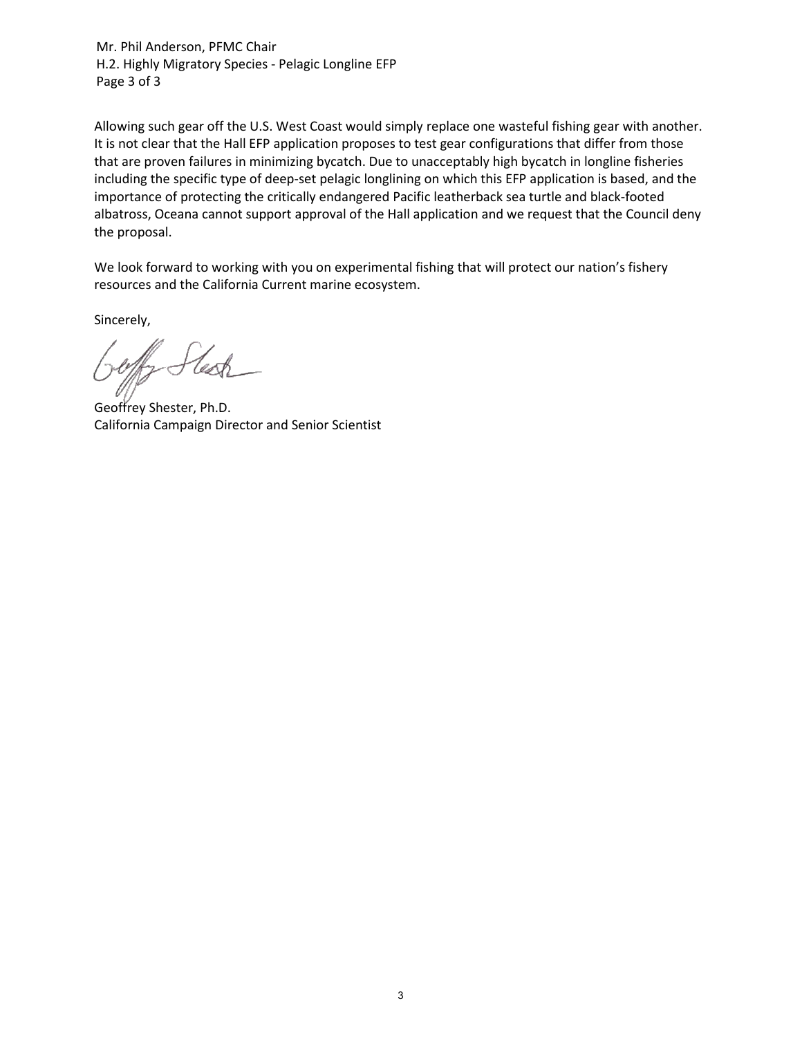Mr. Phil Anderson, PFMC Chair H.2. Highly Migratory Species - Pelagic Longline EFP Page 3 of 3

Allowing such gear off the U.S. West Coast would simply replace one wasteful fishing gear with another. It is not clear that the Hall EFP application proposes to test gear configurations that differ from those that are proven failures in minimizing bycatch. Due to unacceptably high bycatch in longline fisheries including the specific type of deep-set pelagic longlining on which this EFP application is based, and the importance of protecting the critically endangered Pacific leatherback sea turtle and black-footed albatross, Oceana cannot support approval of the Hall application and we request that the Council deny the proposal.

We look forward to working with you on experimental fishing that will protect our nation's fishery resources and the California Current marine ecosystem.

Sincerely,

Geoffrey Shester, Ph.D. California Campaign Director and Senior Scientist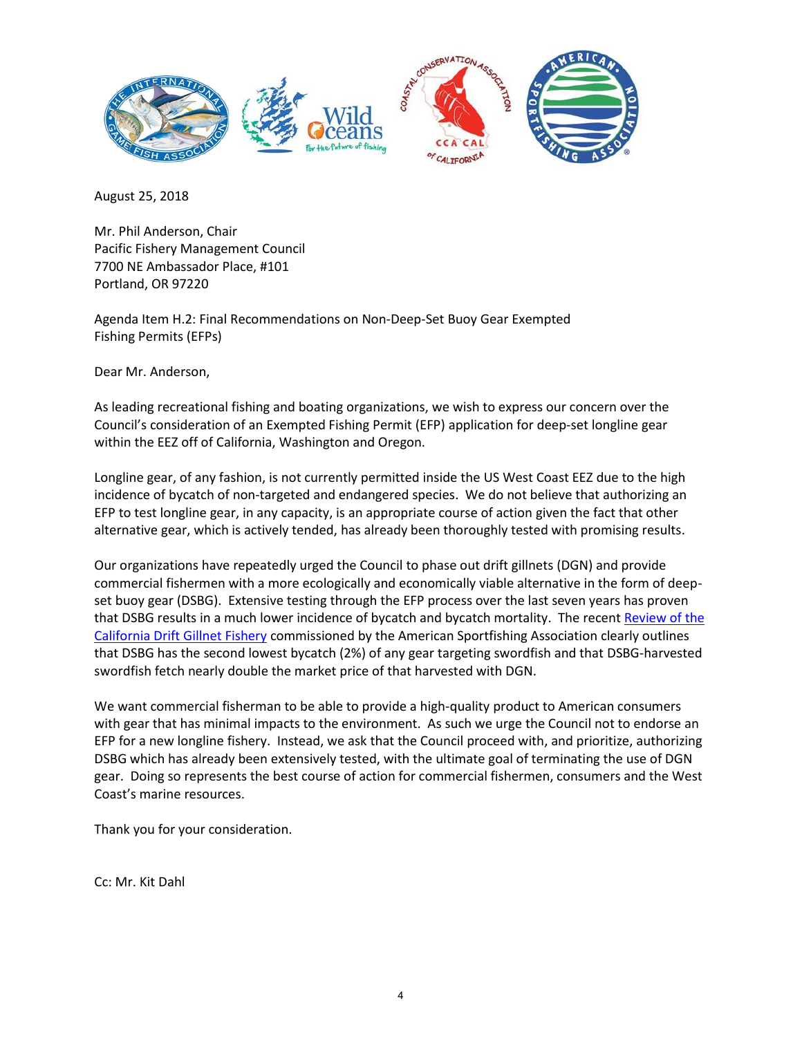

August 25, 2018

Mr. Phil Anderson, Chair Pacific Fishery Management Council 7700 NE Ambassador Place, #101 Portland, OR 97220

Agenda Item H.2: Final Recommendations on Non‐Deep‐Set Buoy Gear Exempted Fishing Permits (EFPs)

Dear Mr. Anderson,

As leading recreational fishing and boating organizations, we wish to express our concern over the Council's consideration of an Exempted Fishing Permit (EFP) application for deep-set longline gear within the EEZ off of California, Washington and Oregon.

Longline gear, of any fashion, is not currently permitted inside the US West Coast EEZ due to the high incidence of bycatch of non-targeted and endangered species. We do not believe that authorizing an EFP to test longline gear, in any capacity, is an appropriate course of action given the fact that other alternative gear, which is actively tended, has already been thoroughly tested with promising results.

Our organizations have repeatedly urged the Council to phase out drift gillnets (DGN) and provide commercial fishermen with a more ecologically and economically viable alternative in the form of deepset buoy gear (DSBG). Extensive testing through the EFP process over the last seven years has proven that DSBG results in a much lower incidence of bycatch and bycatch mortality. The recen[t Review of the](https://asafishing.org/wp-content/uploads/California-Drift-Gillnet-Fishery-Economic-Considerations-July-2018.pdf)  [California Drift Gillnet Fishery](https://asafishing.org/wp-content/uploads/California-Drift-Gillnet-Fishery-Economic-Considerations-July-2018.pdf) commissioned by the American Sportfishing Association clearly outlines that DSBG has the second lowest bycatch (2%) of any gear targeting swordfish and that DSBG-harvested swordfish fetch nearly double the market price of that harvested with DGN.

We want commercial fisherman to be able to provide a high-quality product to American consumers with gear that has minimal impacts to the environment. As such we urge the Council not to endorse an EFP for a new longline fishery. Instead, we ask that the Council proceed with, and prioritize, authorizing DSBG which has already been extensively tested, with the ultimate goal of terminating the use of DGN gear. Doing so represents the best course of action for commercial fishermen, consumers and the West Coast's marine resources.

Thank you for your consideration.

Cc: Mr. Kit Dahl